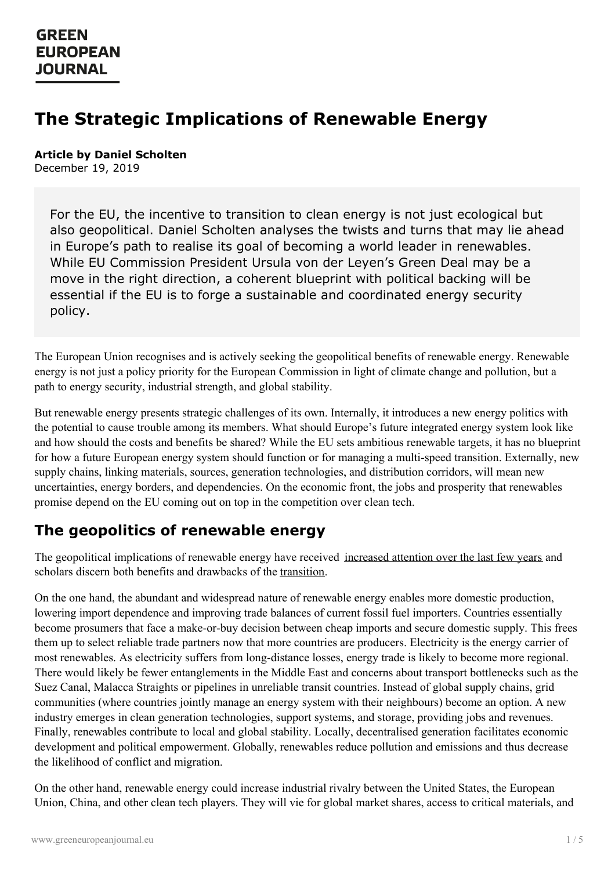# **The Strategic Implications of Renewable Energy**

#### **Article by Daniel Scholten** December 19, 2019

For the EU, the incentive to transition to clean energy is not just ecological but also geopolitical. Daniel Scholten analyses the twists and turns that may lie ahead in Europe's path to realise its goal of becoming a world leader in renewables. While EU Commission President Ursula von der Leyen's Green Deal may be a move in the right direction, a coherent blueprint with political backing will be essential if the EU is to forge a sustainable and coordinated energy security policy.

The European Union recognises and is actively seeking the geopolitical benefits of renewable energy. Renewable energy is not just a policy priority for the European Commission in light of climate change and pollution, but a path to energy security, industrial strength, and global stability.

But renewable energy presents strategic challenges of its own. Internally, it introduces a new energy politics with the potential to cause trouble among its members. What should Europe's future integrated energy system look like and how should the costs and benefits be shared? While the EU sets ambitious renewable targets, it has no blueprint for how a future European energy system should function or for managing a multi-speed transition. Externally, new supply chains, linking materials, sources, generation technologies, and distribution corridors, will mean new uncertainties, energy borders, and dependencies. On the economic front, the jobs and prosperity that renewables promise depend on the EU coming out on top in the competition over clean tech.

## **The geopolitics of renewable energy**

The geopolitical implications of renewable energy have received [increased](https://www.economist.com/special-report/2018/03/15/clean-power-is-shaking-up-the-global-geopolitics-of-energy) attention over the last few years and scholars discern both benefits and drawbacks of the [transition](https://www.irena.org/publications/2019/Jan/A-New-World-The-Geopolitics-of-the-Energy-Transformation).

On the one hand, the abundant and widespread nature of renewable energy enables more domestic production, lowering import dependence and improving trade balances of current fossil fuel importers. Countries essentially become prosumers that face a make-or-buy decision between cheap imports and secure domestic supply. This frees them up to select reliable trade partners now that more countries are producers. Electricity is the energy carrier of most renewables. As electricity suffers from long-distance losses, energy trade is likely to become more regional. There would likely be fewer entanglements in the Middle East and concerns about transport bottlenecks such as the Suez Canal, Malacca Straights or pipelines in unreliable transit countries. Instead of global supply chains, grid communities (where countries jointly manage an energy system with their neighbours) become an option. A new industry emerges in clean generation technologies, support systems, and storage, providing jobs and revenues. Finally, [renewables](https://www.greeneuropeanjournal.eu) contribute to local and global stability. Locally, decentralised generation facilitates economic development and political empowerment. Globally, renewables reduce pollution and emissions and thus decrease the likelihood of conflict and migration.

On the other hand, renewable energy could increase industrial rivalry between the United States, the European Union, China, and other clean tech players. They will vie for global market shares, access to critical materials, and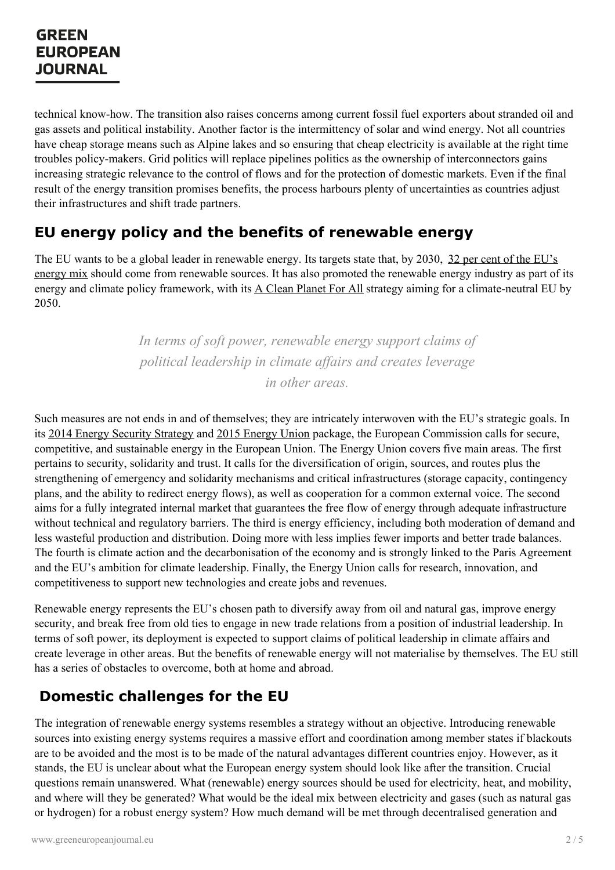technical know-how. The transition also raises concerns among current fossil fuel exporters about stranded oil and gas assets and political instability. Another factor is the intermittency of solar and wind energy. Not all countries have cheap storage means such as Alpine lakes and so ensuring that cheap electricity is available at the right time troubles policy-makers. Grid politics will replace pipelines politics as the ownership of interconnectors gains increasing strategic relevance to the control of flows and for the protection of domestic markets. Even if the final result of the energy transition promises benefits, the process harbours plenty of uncertainties as countries adjust their infrastructures and shift trade partners.

## **EU energy policy and the benefits of renewable energy**

The EU wants to be a global leader in renewable energy. Its targets state that, by 2030, 32 per cent of the EU's energy mix should come from [renewable](https://ec.europa.eu/energy/en/topics/renewable-energy/renewable-energy-directive/overview) sources. It has also promoted the renewable energy industry as part of its energy and climate policy framework, with its A Clean [Planet](https://ec.europa.eu/clima/policies/strategies/2050_e) For All strategy aiming for a climate-neutral EU by 2050.

> *In terms of soft power, renewable energy support claims of political leadership in climate af airs and creates leverage in other areas.*

Such measures are not ends in and of themselves; they are intricately interwoven with the EU's strategic goals. In its 2014 Energy [Security](https://ec.europa.eu/energy/en/topics/energy-strategy-and-energy-union) Strategy and 2015 [Energy](https://ec.europa.eu/energy/en/topics/energy-strategy-and-energy-union) Union package, the European Commission calls for secure, competitive, and sustainable energy in the European Union. The Energy Union covers five main areas. The first pertains to security, solidarity and trust. It calls for the diversification of origin, sources, and routes plus the strengthening of emergency and solidarity mechanisms and critical infrastructures (storage capacity, contingency plans, and the ability to redirect energy flows), as well as cooperation for a common external voice. The second aims for a fully integrated internal market that guarantees the free flow of energy through adequate infrastructure without technical and regulatory barriers. The third is energy efficiency, including both moderation of demand and less wasteful production and distribution. Doing more with less implies fewer imports and better trade balances. The fourth is climate action and the decarbonisation of the economy and is strongly linked to the Paris Agreement and the EU's ambition for climate leadership. Finally, the Energy Union calls for research, innovation, and competitiveness to support new technologies and create jobs and revenues.

Renewable energy represents the EU's chosen path to diversify away from oil and natural gas, improve energy security, and break free from old ties to engage in new trade relations from a position of industrial leadership. In terms of soft power, its deployment is expected to support claims of political leadership in climate affairs and create leverage in other areas. But the benefits of renewable energy will not materialise by themselves. The EU still has a series of obstacles to overcome, both at home and abroad.

### **Domestic challenges for the EU**

The [integration](https://www.greeneuropeanjournal.eu) of renewable energy systems resembles a strategy without an objective. Introducing renewable sources into existing energy systems requires a massive effort and coordination among member states if blackouts are to be avoided and the most is to be made of the natural advantages different countries enjoy. However, as it stands, the EU is unclear about what the European energy system should look like after the transition. Crucial questions remain unanswered. What (renewable) energy sources should be used for electricity, heat, and mobility, and where will they be generated? What would be the ideal mix between electricity and gases (such as natural gas or hydrogen) for a robust energy system? How much demand will be met through decentralised generation and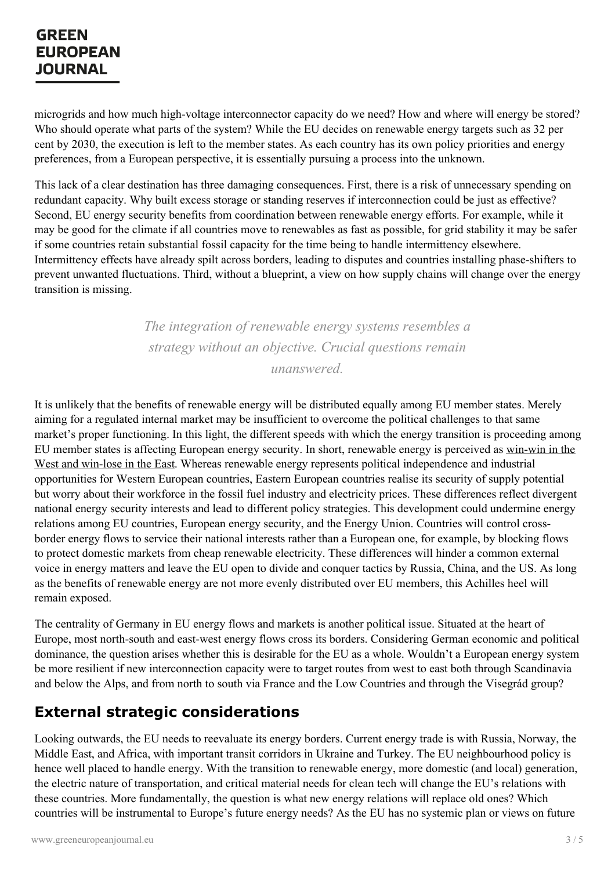microgrids and how much high-voltage interconnector capacity do we need? How and where will energy be stored? Who should operate what parts of the system? While the EU decides on renewable energy targets such as 32 per cent by 2030, the execution is left to the member states. As each country has its own policy priorities and energy preferences, from a European perspective, it is essentially pursuing a process into the unknown.

This lack of a clear destination has three damaging consequences. First, there is a risk of unnecessary spending on redundant capacity. Why built excess storage or standing reserves if interconnection could be just as effective? Second, EU energy security benefits from coordination between renewable energy efforts. For example, while it may be good for the climate if all countries move to renewables as fast as possible, for grid stability it may be safer if some countries retain substantial fossil capacity for the time being to handle intermittency elsewhere. Intermittency effects have already spilt across borders, leading to disputes and countries installing phase-shifters to prevent unwanted fluctuations. Third, without a blueprint, a view on how supply chains will change over the energy transition is missing.

> *The integration of renewable energy systems resembles a strategy without an objective. Crucial questions remain*

*unanswered.*

It is unlikely that the benefits of renewable energy will be distributed equally among EU member states. Merely aiming for a regulated internal market may be insufficient to overcome the political challenges to that same market's proper functioning. In this light, the different speeds with which the energy transition is proceeding among EU member states is affecting European energy security. In short, renewable energy is perceived as win-win in the West and win-lose in the East. Whereas renewable energy represents political [independence](https://www.sciencedirect.com/science/article/pii/S2211467X19301087) and industrial opportunities for Western European countries, Eastern European countries realise its security of supply potential but worry about their workforce in the fossil fuel industry and electricity prices. These differences reflect divergent national energy security interests and lead to different policy strategies. This development could undermine energy relations among EU countries, European energy security, and the Energy Union. Countries will control crossborder energy flows to service their national interests rather than a European one, for example, by blocking flows to protect domestic markets from cheap renewable electricity. These differences will hinder a common external voice in energy matters and leave the EU open to divide and conquer tactics by Russia, China, and the US. As long as the benefits of renewable energy are not more evenly distributed over EU members, this Achilles heel will remain exposed.

The centrality of Germany in EU energy flows and markets is another political issue. Situated at the heart of Europe, most north-south and east-west energy flows cross its borders. Considering German economic and political dominance, the question arises whether this is desirable for the EU as a whole. Wouldn't a European energy system be more resilient if new interconnection capacity were to target routes from west to east both through Scandinavia and below the Alps, and from north to south via France and the Low Countries and through the Visegrád group?

## **External strategic considerations**

Looking [outwards,](https://www.greeneuropeanjournal.eu) the EU needs to reevaluate its energy borders. Current energy trade is with Russia, Norway, the Middle East, and Africa, with important transit corridors in Ukraine and Turkey. The EU neighbourhood policy is hence well placed to handle energy. With the transition to renewable energy, more domestic (and local) generation, the electric nature of transportation, and critical material needs for clean tech will change the EU's relations with these countries. More fundamentally, the question is what new energy relations will replace old ones? Which countries will be instrumental to Europe's future energy needs? As the EU has no systemic plan or views on future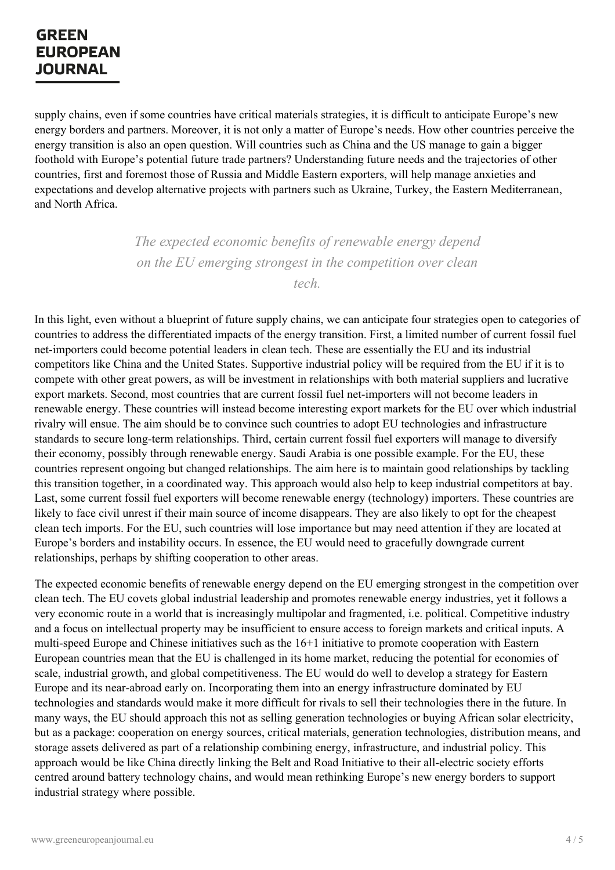supply chains, even if some countries have critical materials strategies, it is difficult to anticipate Europe's new energy borders and partners. Moreover, it is not only a matter of Europe's needs. How other countries perceive the energy transition is also an open question. Will countries such as China and the US manage to gain a bigger foothold with Europe's potential future trade partners? Understanding future needs and the trajectories of other countries, first and foremost those of Russia and Middle Eastern exporters, will help manage anxieties and expectations and develop alternative projects with partners such as Ukraine, Turkey, the Eastern Mediterranean, and North Africa.

> *The expected economic benefits of renewable energy depend on the EU emerging strongest in the competition over clean tech.*

In this light, even without a blueprint of future supply chains, we can anticipate four strategies open to categories of countries to address the differentiated impacts of the energy transition. First, a limited number of current fossil fuel net-importers could become potential leaders in clean tech. These are essentially the EU and its industrial competitors like China and the United States. Supportive industrial policy will be required from the EU if it is to compete with other great powers, as will be investment in relationships with both material suppliers and lucrative export markets. Second, most countries that are current fossil fuel net-importers will not become leaders in renewable energy. These countries will instead become interesting export markets for the EU over which industrial rivalry will ensue. The aim should be to convince such countries to adopt EU technologies and infrastructure standards to secure long-term relationships. Third, certain current fossil fuel exporters will manage to diversify their economy, possibly through renewable energy. Saudi Arabia is one possible example. For the EU, these countries represent ongoing but changed relationships. The aim here is to maintain good relationships by tackling this transition together, in a coordinated way. This approach would also help to keep industrial competitors at bay. Last, some current fossil fuel exporters will become renewable energy (technology) importers. These countries are likely to face civil unrest if their main source of income disappears. They are also likely to opt for the cheapest clean tech imports. For the EU, such countries will lose importance but may need attention if they are located at Europe's borders and instability occurs. In essence, the EU would need to gracefully downgrade current relationships, perhaps by shifting cooperation to other areas.

The expected economic benefits of renewable energy depend on the EU emerging strongest in the competition over clean tech. The EU covets global industrial leadership and promotes renewable energy industries, yet it follows a very economic route in a world that is increasingly multipolar and fragmented, i.e. political. Competitive industry and a focus on intellectual property may be insufficient to ensure access to foreign markets and critical inputs. A multi-speed Europe and Chinese initiatives such as the 16+1 initiative to promote cooperation with Eastern European countries mean that the EU is challenged in its home market, reducing the potential for economies of scale, industrial growth, and global competitiveness. The EU would do well to develop a strategy for Eastern Europe and its near-abroad early on. Incorporating them into an energy infrastructure dominated by EU technologies and standards would make it more difficult for rivals to sell their technologies there in the future. In many ways, the EU should approach this not as selling generation technologies or buying African solar electricity, but as a [package:](https://www.greeneuropeanjournal.eu) cooperation on energy sources, critical materials, generation technologies, distribution means, and storage assets delivered as part of a relationship combining energy, infrastructure, and industrial policy. This approach would be like China directly linking the Belt and Road Initiative to their all-electric society efforts centred around battery technology chains, and would mean rethinking Europe's new energy borders to support industrial strategy where possible.